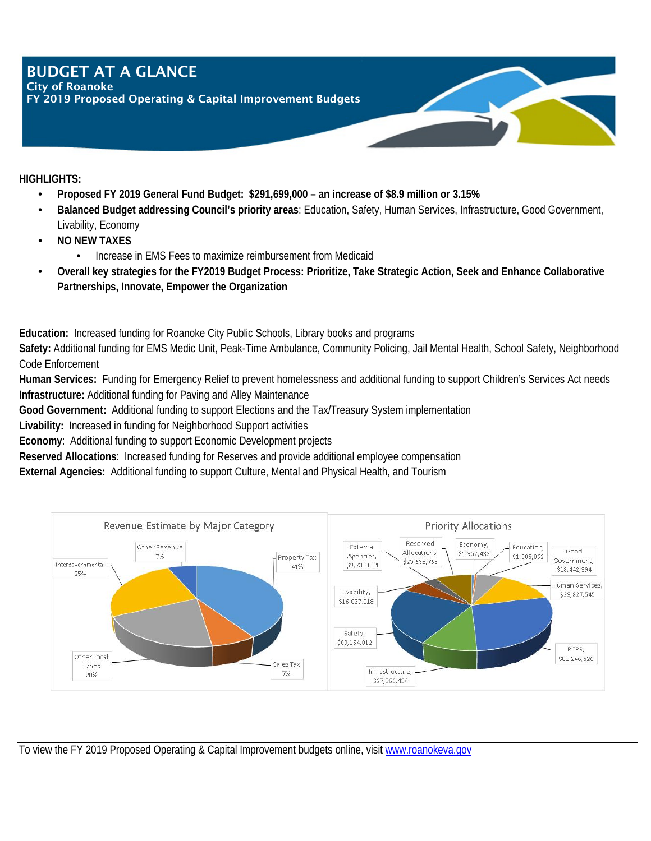### BUDGET AT A GLANCE City of Roanoke

FY 2019 Proposed Operating & Capital Improvement Budgets

**HIGHLIGHTS:**

- **Proposed FY 2019 General Fund Budget: \$291,699,000 an increase of \$8.9 million or 3.15%**
- **Balanced Budget addressing Council's priority areas**: Education, Safety, Human Services, Infrastructure, Good Government, Livability, Economy
- **NO NEW TAXES** 
	- Increase in EMS Fees to maximize reimbursement from Medicaid
- **Overall key strategies for the FY2019 Budget Process: Prioritize, Take Strategic Action, Seek and Enhance Collaborative Partnerships, Innovate, Empower the Organization**

**Education:** Increased funding for Roanoke City Public Schools, Library books and programs

**Safety:** Additional funding for EMS Medic Unit, Peak-Time Ambulance, Community Policing, Jail Mental Health, School Safety, Neighborhood Code Enforcement

**Human Services:** Funding for Emergency Relief to prevent homelessness and additional funding to support Children's Services Act needs **Infrastructure:** Additional funding for Paving and Alley Maintenance

**Good Government:** Additional funding to support Elections and the Tax/Treasury System implementation

**Livability:** Increased in funding for Neighborhood Support activities

**Economy**: Additional funding to support Economic Development projects

**Reserved Allocations**: Increased funding for Reserves and provide additional employee compensation

**External Agencies:** Additional funding to support Culture, Mental and Physical Health, and Tourism